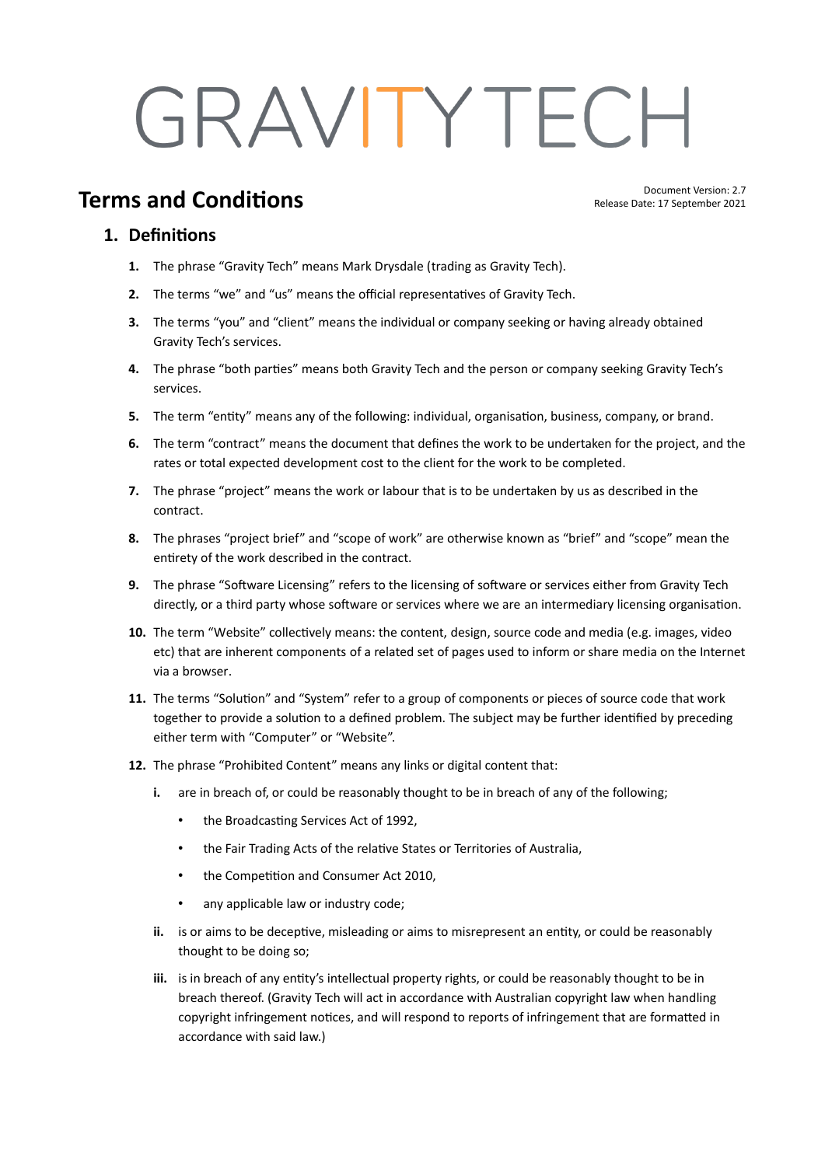# GRAVITYTECH

# **Terms and Conditions**

Document Version: 2.7 Release Date: 17 September 2021

#### **1. Definitions**

- **1.** The phrase "Gravity Tech" means Mark Drysdale (trading as Gravity Tech).
- **2.** The terms "we" and "us" means the official representatives of Gravity Tech.
- **3.** The terms "you" and "client" means the individual or company seeking or having already obtained Gravity Tech's services.
- **4.** The phrase "both parties" means both Gravity Tech and the person or company seeking Gravity Tech's services.
- **5.** The term "entity" means any of the following: individual, organisation, business, company, or brand.
- **6.** The term "contract" means the document that defines the work to be undertaken for the project, and the rates or total expected development cost to the client for the work to be completed.
- **7.** The phrase "project" means the work or labour that is to be undertaken by us as described in the contract.
- **8.** The phrases "project brief" and "scope of work" are otherwise known as "brief" and "scope" mean the entirety of the work described in the contract.
- **9.** The phrase "Software Licensing" refers to the licensing of software or services either from Gravity Tech directly, or a third party whose software or services where we are an intermediary licensing organisation.
- **10.** The term "Website" collectively means: the content, design, source code and media (e.g. images, video etc) that are inherent components of a related set of pages used to inform or share media on the Internet via a browser.
- **11.** The terms "Solution" and "System" refer to a group of components or pieces of source code that work together to provide a solution to a defined problem. The subject may be further identified by preceding either term with "Computer" or "Website".
- **12.** The phrase "Prohibited Content" means any links or digital content that:
	- **i.** are in breach of, or could be reasonably thought to be in breach of any of the following;
		- the Broadcasting Services Act of 1992,
		- the Fair Trading Acts of the relative States or Territories of Australia,
		- the Competition and Consumer Act 2010,
		- any applicable law or industry code;
	- **ii.** is or aims to be deceptive, misleading or aims to misrepresent an entity, or could be reasonably thought to be doing so;
	- **iii.** is in breach of any entity's intellectual property rights, or could be reasonably thought to be in breach thereof. (Gravity Tech will act in accordance with Australian copyright law when handling copyright infringement notices, and will respond to reports of infringement that are formatted in accordance with said law.)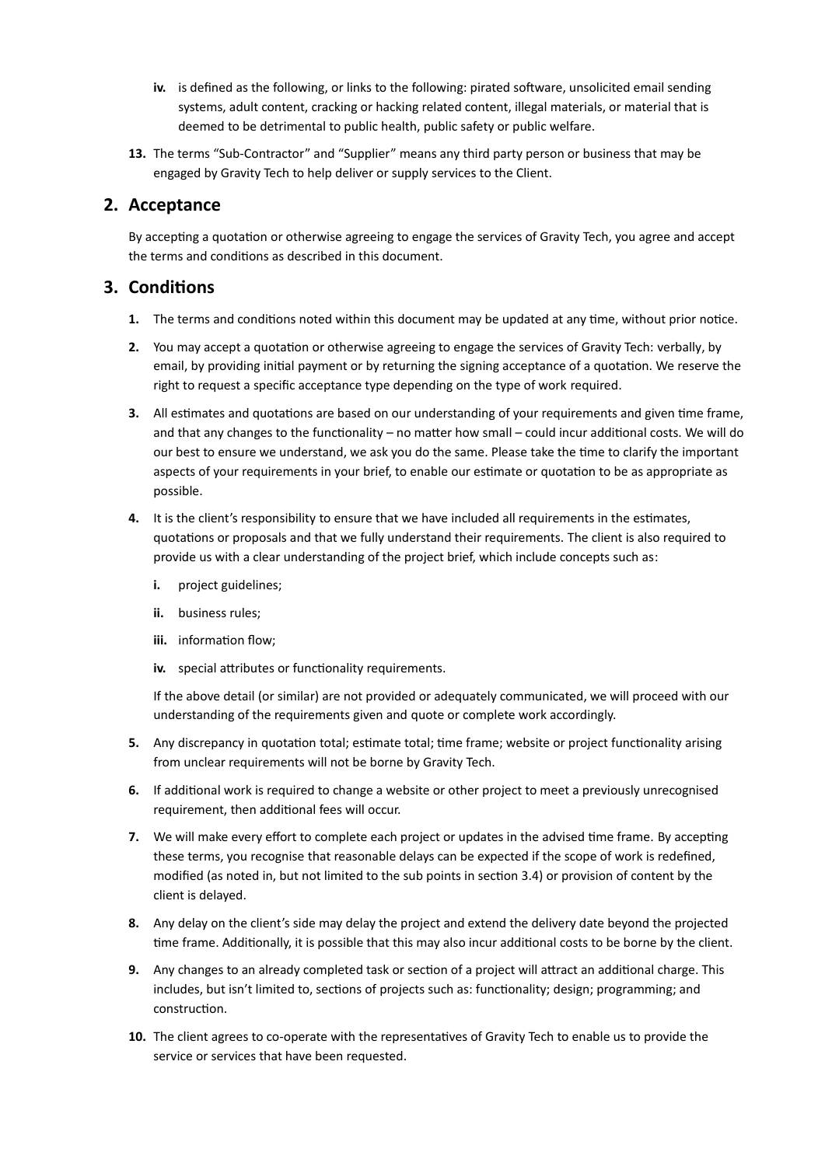- **iv.** is defined as the following, or links to the following: pirated software, unsolicited email sending systems, adult content, cracking or hacking related content, illegal materials, or material that is deemed to be detrimental to public health, public safety or public welfare.
- **13.** The terms "Sub-Contractor" and "Supplier" means any third party person or business that may be engaged by Gravity Tech to help deliver or supply services to the Client.

#### **2. Acceptance**

By accepting a quotation or otherwise agreeing to engage the services of Gravity Tech, you agree and accept the terms and conditions as described in this document.

### **3. Conditions**

- **1.** The terms and conditions noted within this document may be updated at any time, without prior notice.
- **2.** You may accept a quotation or otherwise agreeing to engage the services of Gravity Tech: verbally, by email, by providing initial payment or by returning the signing acceptance of a quotation. We reserve the right to request a specific acceptance type depending on the type of work required.
- **3.** All estimates and quotations are based on our understanding of your requirements and given time frame, and that any changes to the functionality – no matter how small – could incur additional costs. We will do our best to ensure we understand, we ask you do the same. Please take the time to clarify the important aspects of your requirements in your brief, to enable our estimate or quotation to be as appropriate as possible.
- **4.** It is the client's responsibility to ensure that we have included all requirements in the estimates, quotations or proposals and that we fully understand their requirements. The client is also required to provide us with a clear understanding of the project brief, which include concepts such as:
	- **i.** project guidelines;
	- **ii.** business rules;
	- **iii.** information flow;
	- **iv.** special attributes or functionality requirements.

If the above detail (or similar) are not provided or adequately communicated, we will proceed with our understanding of the requirements given and quote or complete work accordingly.

- **5.** Any discrepancy in quotation total; estimate total; time frame; website or project functionality arising from unclear requirements will not be borne by Gravity Tech.
- **6.** If additional work is required to change a website or other project to meet a previously unrecognised requirement, then additional fees will occur.
- **7.** We will make every effort to complete each project or updates in the advised time frame. By accepting these terms, you recognise that reasonable delays can be expected if the scope of work is redefined, modified (as noted in, but not limited to the sub points in section 3.4) or provision of content by the client is delayed.
- **8.** Any delay on the client's side may delay the project and extend the delivery date beyond the projected time frame. Additionally, it is possible that this may also incur additional costs to be borne by the client.
- **9.** Any changes to an already completed task or section of a project will attract an additional charge. This includes, but isn't limited to, sections of projects such as: functionality; design; programming; and construction.
- **10.** The client agrees to co-operate with the representatives of Gravity Tech to enable us to provide the service or services that have been requested.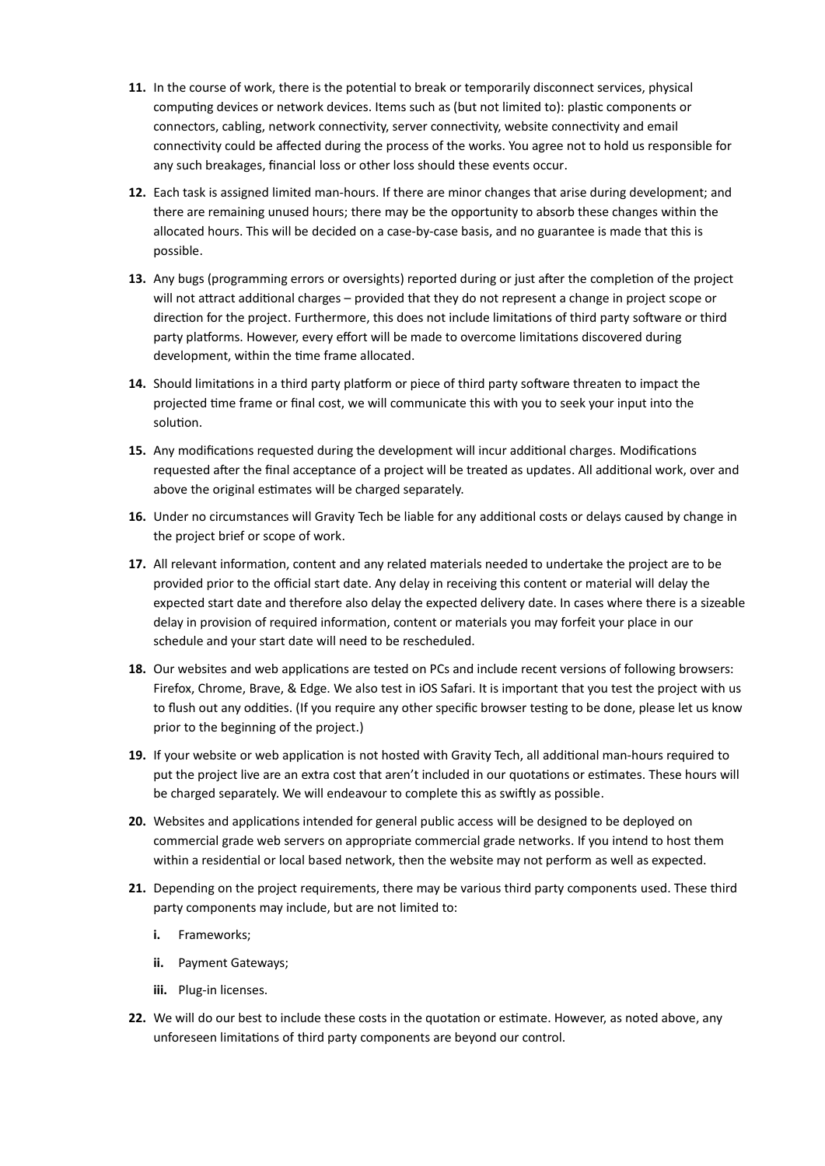- **11.** In the course of work, there is the potential to break or temporarily disconnect services, physical computing devices or network devices. Items such as (but not limited to): plastic components or connectors, cabling, network connectivity, server connectivity, website connectivity and email connectivity could be affected during the process of the works. You agree not to hold us responsible for any such breakages, financial loss or other loss should these events occur.
- **12.** Each task is assigned limited man-hours. If there are minor changes that arise during development; and there are remaining unused hours; there may be the opportunity to absorb these changes within the allocated hours. This will be decided on a case-by-case basis, and no guarantee is made that this is possible.
- **13.** Any bugs (programming errors or oversights) reported during or just after the completion of the project will not attract additional charges – provided that they do not represent a change in project scope or direction for the project. Furthermore, this does not include limitations of third party software or third party platforms. However, every effort will be made to overcome limitations discovered during development, within the time frame allocated.
- **14.** Should limitations in a third party platform or piece of third party software threaten to impact the projected time frame or final cost, we will communicate this with you to seek your input into the solution.
- **15.** Any modifications requested during the development will incur additional charges. Modifications requested after the final acceptance of a project will be treated as updates. All additional work, over and above the original estimates will be charged separately.
- **16.** Under no circumstances will Gravity Tech be liable for any additional costs or delays caused by change in the project brief or scope of work.
- **17.** All relevant information, content and any related materials needed to undertake the project are to be provided prior to the official start date. Any delay in receiving this content or material will delay the expected start date and therefore also delay the expected delivery date. In cases where there is a sizeable delay in provision of required information, content or materials you may forfeit your place in our schedule and your start date will need to be rescheduled.
- **18.** Our websites and web applications are tested on PCs and include recent versions of following browsers: Firefox, Chrome, Brave, & Edge. We also test in iOS Safari. It is important that you test the project with us to flush out any oddities. (If you require any other specific browser testing to be done, please let us know prior to the beginning of the project.)
- **19.** If your website or web application is not hosted with Gravity Tech, all additional man-hours required to put the project live are an extra cost that aren't included in our quotations or estimates. These hours will be charged separately. We will endeavour to complete this as swiftly as possible.
- **20.** Websites and applications intended for general public access will be designed to be deployed on commercial grade web servers on appropriate commercial grade networks. If you intend to host them within a residential or local based network, then the website may not perform as well as expected.
- **21.** Depending on the project requirements, there may be various third party components used. These third party components may include, but are not limited to:
	- **i.** Frameworks;
	- **ii.** Payment Gateways;
	- **iii.** Plug-in licenses.
- **22.** We will do our best to include these costs in the quotation or estimate. However, as noted above, any unforeseen limitations of third party components are beyond our control.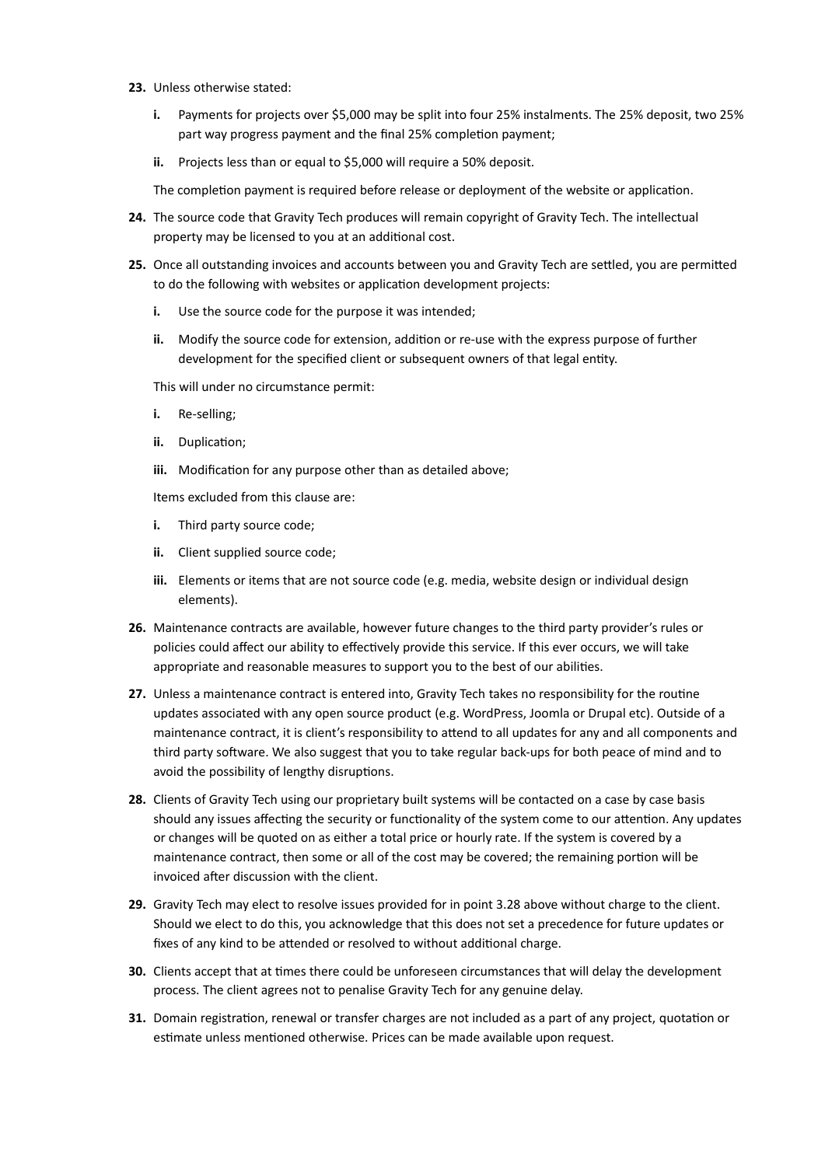- **23.** Unless otherwise stated:
	- **i.** Payments for projects over \$5,000 may be split into four 25% instalments. The 25% deposit, two 25% part way progress payment and the final 25% completion payment;
	- **ii.** Projects less than or equal to \$5,000 will require a 50% deposit.

The completion payment is required before release or deployment of the website or application.

- **24.** The source code that Gravity Tech produces will remain copyright of Gravity Tech. The intellectual property may be licensed to you at an additional cost.
- **25.** Once all outstanding invoices and accounts between you and Gravity Tech are settled, you are permitted to do the following with websites or application development projects:
	- **i.** Use the source code for the purpose it was intended;
	- **ii.** Modify the source code for extension, addition or re-use with the express purpose of further development for the specified client or subsequent owners of that legal entity.

This will under no circumstance permit:

- **i.** Re-selling;
- **ii.** Duplication;
- **iii.** Modification for any purpose other than as detailed above;

Items excluded from this clause are:

- **i.** Third party source code;
- **ii.** Client supplied source code;
- **iii.** Elements or items that are not source code (e.g. media, website design or individual design elements).
- **26.** Maintenance contracts are available, however future changes to the third party provider's rules or policies could affect our ability to effectively provide this service. If this ever occurs, we will take appropriate and reasonable measures to support you to the best of our abilities.
- **27.** Unless a maintenance contract is entered into, Gravity Tech takes no responsibility for the routine updates associated with any open source product (e.g. WordPress, Joomla or Drupal etc). Outside of a maintenance contract, it is client's responsibility to attend to all updates for any and all components and third party software. We also suggest that you to take regular back-ups for both peace of mind and to avoid the possibility of lengthy disruptions.
- **28.** Clients of Gravity Tech using our proprietary built systems will be contacted on a case by case basis should any issues affecting the security or functionality of the system come to our attention. Any updates or changes will be quoted on as either a total price or hourly rate. If the system is covered by a maintenance contract, then some or all of the cost may be covered; the remaining portion will be invoiced after discussion with the client.
- **29.** Gravity Tech may elect to resolve issues provided for in point 3.28 above without charge to the client. Should we elect to do this, you acknowledge that this does not set a precedence for future updates or fixes of any kind to be attended or resolved to without additional charge.
- **30.** Clients accept that at times there could be unforeseen circumstances that will delay the development process. The client agrees not to penalise Gravity Tech for any genuine delay.
- **31.** Domain registration, renewal or transfer charges are not included as a part of any project, quotation or estimate unless mentioned otherwise. Prices can be made available upon request.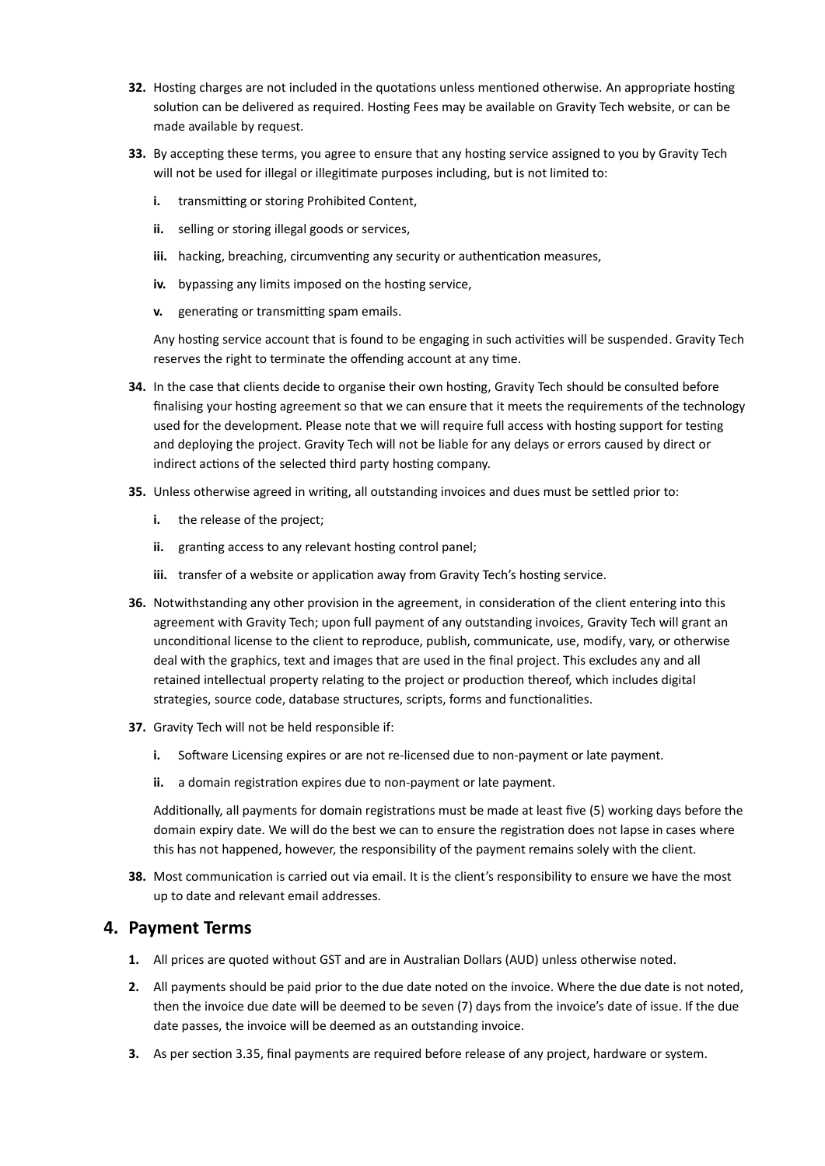- **32.** Hosting charges are not included in the quotations unless mentioned otherwise. An appropriate hosting solution can be delivered as required. Hosting Fees may be available on Gravity Tech website, or can be made available by request.
- **33.** By accepting these terms, you agree to ensure that any hosting service assigned to you by Gravity Tech will not be used for illegal or illegitimate purposes including, but is not limited to:
	- **i.** transmitting or storing Prohibited Content,
	- **ii.** selling or storing illegal goods or services,
	- **iii.** hacking, breaching, circumventing any security or authentication measures,
	- **iv.** bypassing any limits imposed on the hosting service,
	- **v.** generating or transmitting spam emails.

Any hosting service account that is found to be engaging in such activities will be suspended. Gravity Tech reserves the right to terminate the offending account at any time.

- **34.** In the case that clients decide to organise their own hosting, Gravity Tech should be consulted before finalising your hosting agreement so that we can ensure that it meets the requirements of the technology used for the development. Please note that we will require full access with hosting support for testing and deploying the project. Gravity Tech will not be liable for any delays or errors caused by direct or indirect actions of the selected third party hosting company.
- **35.** Unless otherwise agreed in writing, all outstanding invoices and dues must be settled prior to:
	- **i.** the release of the project;
	- **ii.** granting access to any relevant hosting control panel;
	- **iii.** transfer of a website or application away from Gravity Tech's hosting service.
- **36.** Notwithstanding any other provision in the agreement, in consideration of the client entering into this agreement with Gravity Tech; upon full payment of any outstanding invoices, Gravity Tech will grant an unconditional license to the client to reproduce, publish, communicate, use, modify, vary, or otherwise deal with the graphics, text and images that are used in the final project. This excludes any and all retained intellectual property relating to the project or production thereof, which includes digital strategies, source code, database structures, scripts, forms and functionalities.
- **37.** Gravity Tech will not be held responsible if:
	- **i.** Software Licensing expires or are not re-licensed due to non-payment or late payment.
	- ii. a domain registration expires due to non-payment or late payment.

Additionally, all payments for domain registrations must be made at least five (5) working days before the domain expiry date. We will do the best we can to ensure the registration does not lapse in cases where this has not happened, however, the responsibility of the payment remains solely with the client.

**38.** Most communication is carried out via email. It is the client's responsibility to ensure we have the most up to date and relevant email addresses.

#### **4. Payment Terms**

- **1.** All prices are quoted without GST and are in Australian Dollars (AUD) unless otherwise noted.
- **2.** All payments should be paid prior to the due date noted on the invoice. Where the due date is not noted, then the invoice due date will be deemed to be seven (7) days from the invoice's date of issue. If the due date passes, the invoice will be deemed as an outstanding invoice.
- **3.** As per section 3.35, final payments are required before release of any project, hardware or system.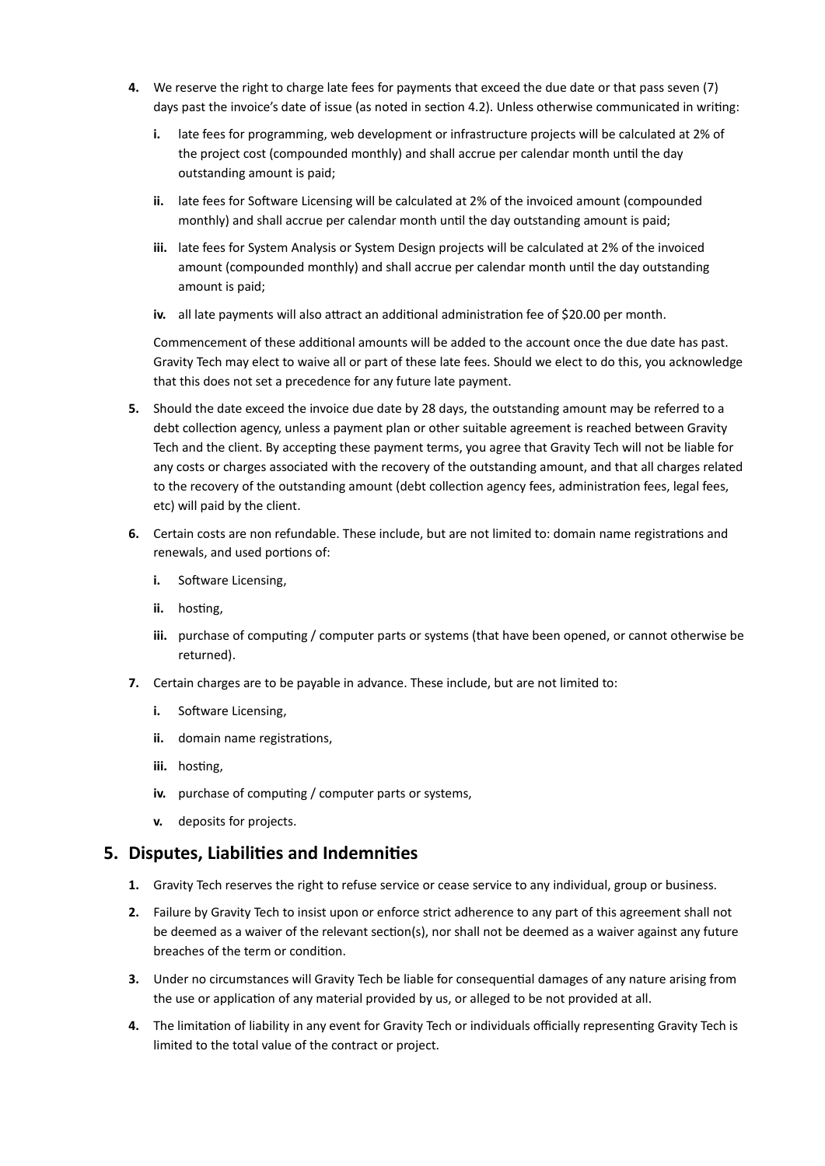- **4.** We reserve the right to charge late fees for payments that exceed the due date or that pass seven (7) days past the invoice's date of issue (as noted in section 4.2). Unless otherwise communicated in writing:
	- **i.** late fees for programming, web development or infrastructure projects will be calculated at 2% of the project cost (compounded monthly) and shall accrue per calendar month until the day outstanding amount is paid;
	- **ii.** late fees for Software Licensing will be calculated at 2% of the invoiced amount (compounded monthly) and shall accrue per calendar month until the day outstanding amount is paid;
	- **iii.** late fees for System Analysis or System Design projects will be calculated at 2% of the invoiced amount (compounded monthly) and shall accrue per calendar month until the day outstanding amount is paid;
	- **iv.** all late payments will also attract an additional administration fee of \$20.00 per month.

Commencement of these additional amounts will be added to the account once the due date has past. Gravity Tech may elect to waive all or part of these late fees. Should we elect to do this, you acknowledge that this does not set a precedence for any future late payment.

- **5.** Should the date exceed the invoice due date by 28 days, the outstanding amount may be referred to a debt collection agency, unless a payment plan or other suitable agreement is reached between Gravity Tech and the client. By accepting these payment terms, you agree that Gravity Tech will not be liable for any costs or charges associated with the recovery of the outstanding amount, and that all charges related to the recovery of the outstanding amount (debt collection agency fees, administration fees, legal fees, etc) will paid by the client.
- **6.** Certain costs are non refundable. These include, but are not limited to: domain name registrations and renewals, and used portions of:
	- **i.** Software Licensing,
	- **ii.** hosting,
	- **iii.** purchase of computing / computer parts or systems (that have been opened, or cannot otherwise be returned).
- **7.** Certain charges are to be payable in advance. These include, but are not limited to:
	- **i.** Software Licensing,
	- **ii.** domain name registrations,
	- **iii.** hosting,
	- **iv.** purchase of computing / computer parts or systems,
	- **v.** deposits for projects.

#### **5. Disputes, Liabilities and Indemnities**

- **1.** Gravity Tech reserves the right to refuse service or cease service to any individual, group or business.
- **2.** Failure by Gravity Tech to insist upon or enforce strict adherence to any part of this agreement shall not be deemed as a waiver of the relevant section(s), nor shall not be deemed as a waiver against any future breaches of the term or condition.
- **3.** Under no circumstances will Gravity Tech be liable for consequential damages of any nature arising from the use or application of any material provided by us, or alleged to be not provided at all.
- **4.** The limitation of liability in any event for Gravity Tech or individuals officially representing Gravity Tech is limited to the total value of the contract or project.